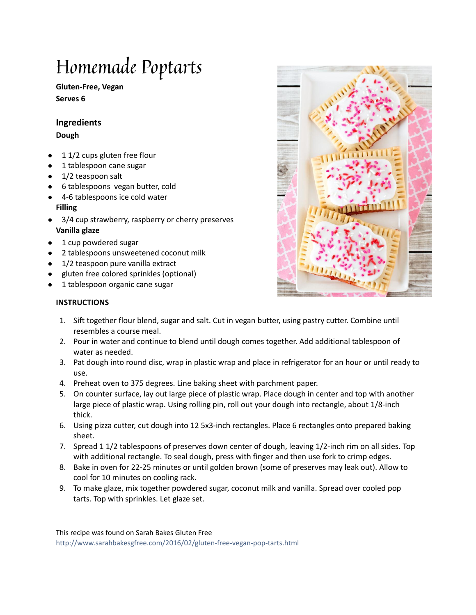# Homemade Poptarts

**Gluten-Free, Vegan Serves 6**

### **Ingredients**

**Dough**

- $\bullet$  1 1/2 cups [gluten](http://www.sarahbakesgfree.com/2012/05/sarahs-gluten-free-flour-blend.html) free flour
- 1 tablespoon cane sugar
- 1/2 teaspoon salt
- 6 tablespoons vegan butter, cold
- 4-6 tablespoons ice cold water **Filling**
- 3/4 cup strawberry, raspberry or cherry preserves **Vanilla glaze**
- 1 cup powdered sugar
- 2 tablespoons unsweetened coconut milk
- 1/2 teaspoon pure vanilla extract
- gluten free colored sprinkles (optional)
- 1 tablespoon organic cane sugar

# **INSTRUCTIONS**

- 1. Sift together flour blend, sugar and salt. Cut in vegan butter, using pastry cutter. Combine until resembles a course meal.
- 2. Pour in water and continue to blend until dough comes together. Add additional tablespoon of water as needed.
- 3. Pat dough into round disc, wrap in plastic wrap and place in refrigerator for an hour or until ready to use.
- 4. Preheat oven to 375 degrees. Line baking sheet with parchment paper.
- 5. On counter surface, lay out large piece of plastic wrap. Place dough in center and top with another large piece of plastic wrap. Using rolling pin, roll out your dough into rectangle, about 1/8-inch thick.
- 6. Using pizza cutter, cut dough into 12 5x3-inch rectangles. Place 6 rectangles onto prepared baking sheet.
- 7. Spread 1 1/2 tablespoons of preserves down center of dough, leaving 1/2-inch rim on all sides. Top with additional rectangle. To seal dough, press with finger and then use fork to crimp edges.
- 8. Bake in oven for 22-25 minutes or until golden brown (some of preserves may leak out). Allow to cool for 10 minutes on cooling rack.
- 9. To make glaze, mix together powdered sugar, coconut milk and vanilla. Spread over cooled pop tarts. Top with sprinkles. Let glaze set.

This recipe was found on Sarah Bakes Gluten Free <http://www.sarahbakesgfree.com/2016/02/gluten-free-vegan-pop-tarts.html>

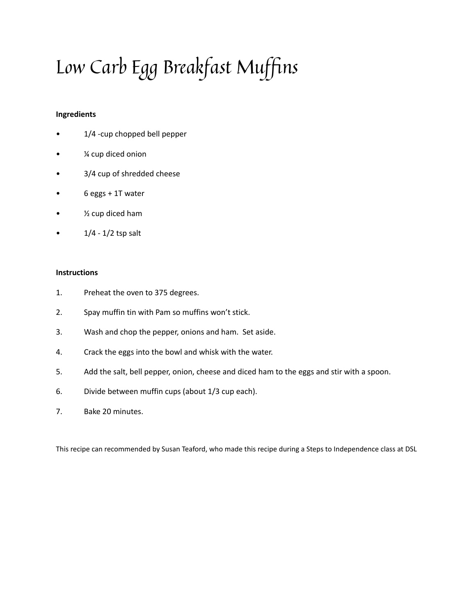# Low Carb Egg Breakfast Muffins

#### **Ingredients**

- 1/4 -cup chopped bell pepper
- ¼ cup diced onion
- 3/4 cup of shredded cheese
- 6 eggs + 1T water
- ½ cup diced ham
- $1/4 1/2$  tsp salt

#### **Instructions**

- 1. Preheat the oven to 375 degrees.
- 2. Spay muffin tin with Pam so muffins won't stick.
- 3. Wash and chop the pepper, onions and ham. Set aside.
- 4. Crack the eggs into the bowl and whisk with the water.
- 5. Add the salt, bell pepper, onion, cheese and diced ham to the eggs and stir with a spoon.
- 6. Divide between muffin cups (about 1/3 cup each).
- 7. Bake 20 minutes.

This recipe can recommended by Susan Teaford, who made this recipe during a Steps to Independence class at DSL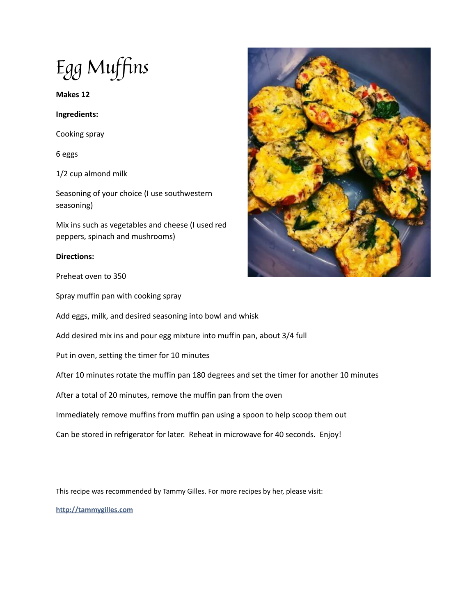Egg Muffins

**Makes 12**

**Ingredients:**

Cooking spray

6 eggs

1/2 cup almond milk

Seasoning of your choice (I use southwestern seasoning)

Mix ins such as vegetables and cheese (I used red peppers, spinach and mushrooms)

#### **Directions:**

Preheat oven to 350

Spray muffin pan with cooking spray

Add eggs, milk, and desired seasoning into bowl and whisk

Add desired mix ins and pour egg mixture into muffin pan, about 3/4 full

Put in oven, setting the timer for 10 minutes

After 10 minutes rotate the muffin pan 180 degrees and set the timer for another 10 minutes

After a total of 20 minutes, remove the muffin pan from the oven

Immediately remove muffins from muffin pan using a spoon to help scoop them out

Can be stored in refrigerator for later. Reheat in microwave for 40 seconds. Enjoy!

This recipe was recommended by Tammy Gilles. For more recipes by her, please visit:

**<http://tammygilles.com>**